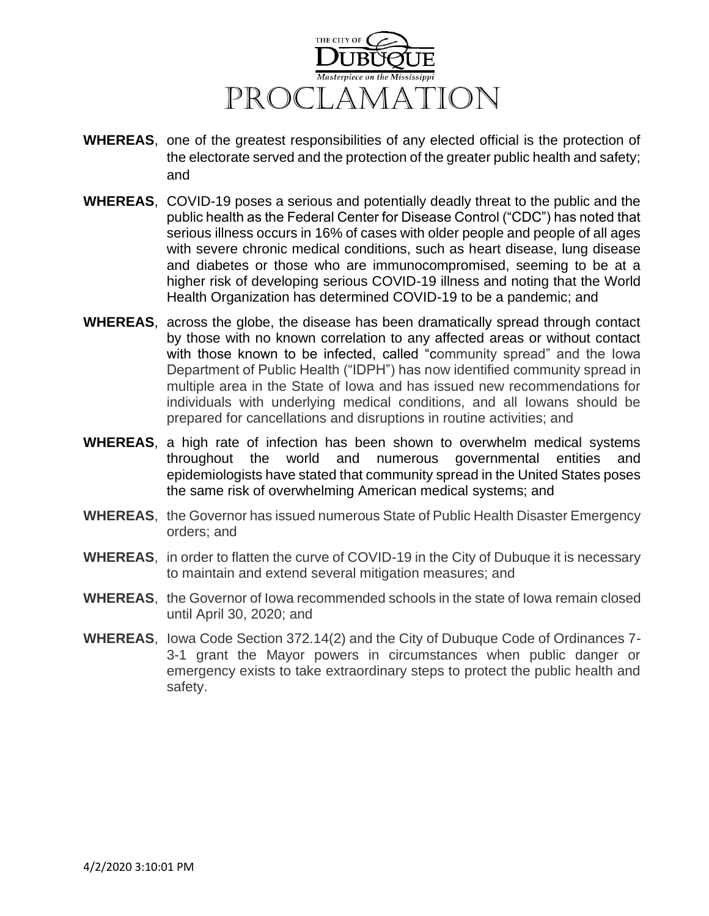

- **WHEREAS**, one of the greatest responsibilities of any elected official is the protection of the electorate served and the protection of the greater public health and safety; and
- **WHEREAS**, COVID-19 poses a serious and potentially deadly threat to the public and the public health as the Federal Center for Disease Control ("CDC") has noted that serious illness occurs in 16% of cases with older people and people of all ages with severe chronic medical conditions, such as heart disease, lung disease and diabetes or those who are immunocompromised, seeming to be at a higher risk of developing serious COVID-19 illness and noting that the World Health Organization has determined COVID-19 to be a pandemic; and
- **WHEREAS**, across the globe, the disease has been dramatically spread through contact by those with no known correlation to any affected areas or without contact with those known to be infected, called "community spread" and the Iowa Department of Public Health ("IDPH") has now identified community spread in multiple area in the State of Iowa and has issued new recommendations for individuals with underlying medical conditions, and all Iowans should be prepared for cancellations and disruptions in routine activities; and
- **WHEREAS**, a high rate of infection has been shown to overwhelm medical systems throughout the world and numerous governmental entities and epidemiologists have stated that community spread in the United States poses the same risk of overwhelming American medical systems; and
- **WHEREAS**, the Governor has issued numerous State of Public Health Disaster Emergency orders; and
- **WHEREAS**, in order to flatten the curve of COVID-19 in the City of Dubuque it is necessary to maintain and extend several mitigation measures; and
- **WHEREAS**, the Governor of Iowa recommended schools in the state of Iowa remain closed until April 30, 2020; and
- **WHEREAS**, Iowa Code Section 372.14(2) and the City of Dubuque Code of Ordinances 7- 3-1 grant the Mayor powers in circumstances when public danger or emergency exists to take extraordinary steps to protect the public health and safety.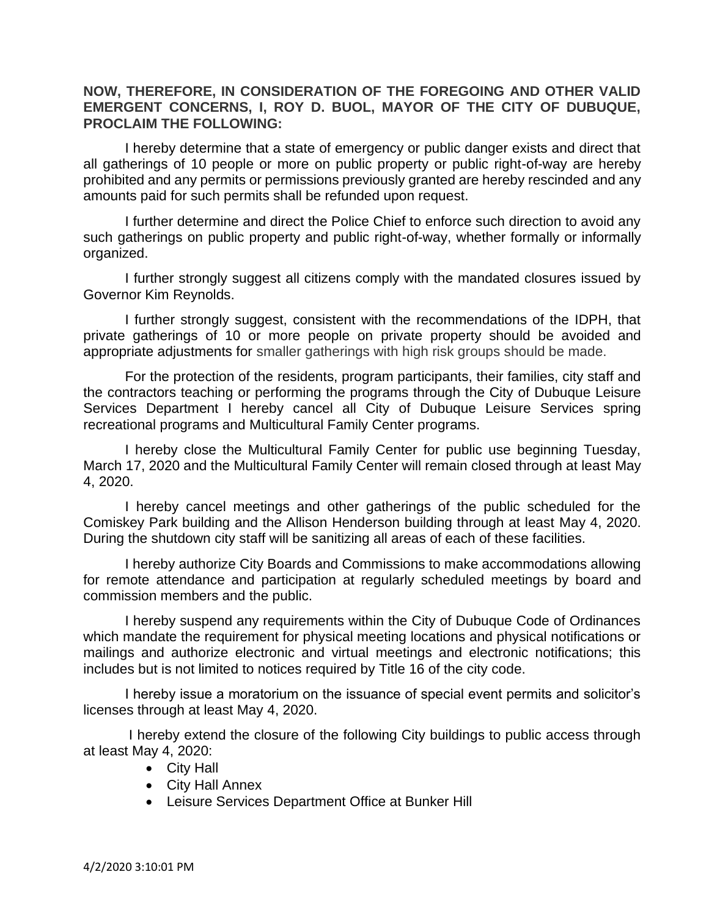## **NOW, THEREFORE, IN CONSIDERATION OF THE FOREGOING AND OTHER VALID EMERGENT CONCERNS, I, ROY D. BUOL, MAYOR OF THE CITY OF DUBUQUE, PROCLAIM THE FOLLOWING:**

I hereby determine that a state of emergency or public danger exists and direct that all gatherings of 10 people or more on public property or public right-of-way are hereby prohibited and any permits or permissions previously granted are hereby rescinded and any amounts paid for such permits shall be refunded upon request.

I further determine and direct the Police Chief to enforce such direction to avoid any such gatherings on public property and public right-of-way, whether formally or informally organized.

I further strongly suggest all citizens comply with the mandated closures issued by Governor Kim Reynolds.

I further strongly suggest, consistent with the recommendations of the IDPH, that private gatherings of 10 or more people on private property should be avoided and appropriate adjustments for smaller gatherings with high risk groups should be made.

For the protection of the residents, program participants, their families, city staff and the contractors teaching or performing the programs through the City of Dubuque Leisure Services Department I hereby cancel all City of Dubuque Leisure Services spring recreational programs and Multicultural Family Center programs.

I hereby close the Multicultural Family Center for public use beginning Tuesday, March 17, 2020 and the Multicultural Family Center will remain closed through at least May 4, 2020.

I hereby cancel meetings and other gatherings of the public scheduled for the Comiskey Park building and the Allison Henderson building through at least May 4, 2020. During the shutdown city staff will be sanitizing all areas of each of these facilities.

I hereby authorize City Boards and Commissions to make accommodations allowing for remote attendance and participation at regularly scheduled meetings by board and commission members and the public.

I hereby suspend any requirements within the City of Dubuque Code of Ordinances which mandate the requirement for physical meeting locations and physical notifications or mailings and authorize electronic and virtual meetings and electronic notifications; this includes but is not limited to notices required by Title 16 of the city code.

I hereby issue a moratorium on the issuance of special event permits and solicitor's licenses through at least May 4, 2020.

I hereby extend the closure of the following City buildings to public access through at least May 4, 2020:

- City Hall
- City Hall Annex
- Leisure Services Department Office at Bunker Hill